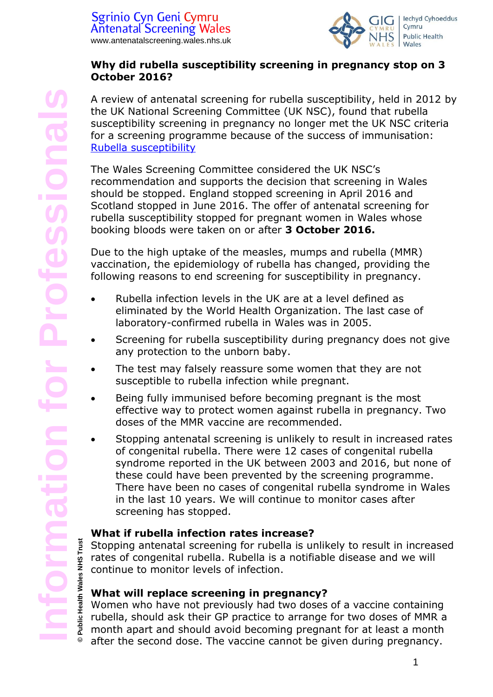

#### **Why did rubella susceptibility screening in pregnancy stop on 3 October 2016?**

A review of antenatal screening for rubella susceptibility, held in 2012 by the UK National Screening Committee (UK NSC), found that rubella susceptibility screening in pregnancy no longer met the UK NSC criteria for a screening programme because of the success of immunisation: [Rubella susceptibility](https://legacyscreening.phe.org.uk/rubellasusceptibility)

The Wales Screening Committee considered the UK NSC's recommendation and supports the decision that screening in Wales should be stopped. England stopped screening in April 2016 and Scotland stopped in June 2016. The offer of antenatal screening for rubella susceptibility stopped for pregnant women in Wales whose booking bloods were taken on or after **3 October 2016.**

Due to the high uptake of the measles, mumps and rubella (MMR) vaccination, the epidemiology of rubella has changed, providing the following reasons to end screening for susceptibility in pregnancy.

- Rubella infection levels in the UK are at a level defined as eliminated by the World Health Organization. The last case of laboratory-confirmed rubella in Wales was in 2005.
- Screening for rubella susceptibility during pregnancy does not give any protection to the unborn baby.
- The test may falsely reassure some women that they are not susceptible to rubella infection while pregnant.
- Being fully immunised before becoming pregnant is the most effective way to protect women against rubella in pregnancy. Two doses of the MMR vaccine are recommended.
- Stopping antenatal screening is unlikely to result in increased rates of congenital rubella. There were 12 cases of congenital rubella syndrome reported in the UK between 2003 and 2016, but none of these could have been prevented by the screening programme. There have been no cases of congenital rubella syndrome in Wales in the last 10 years. We will continue to monitor cases after screening has stopped.

# **What if rubella infection rates increase?**

Stopping antenatal screening for rubella is unlikely to result in increased rates of congenital rubella. Rubella is a notifiable disease and we will continue to monitor levels of infection.

# **What will replace screening in pregnancy?**

Women who have not previously had two doses of a vaccine containing rubella, should ask their GP practice to arrange for two doses of MMR a month apart and should avoid becoming pregnant for at least a month after the second dose. The vaccine cannot be given during pregnancy.

**© Public Health Wales NHS Trust**

 $\circledcirc$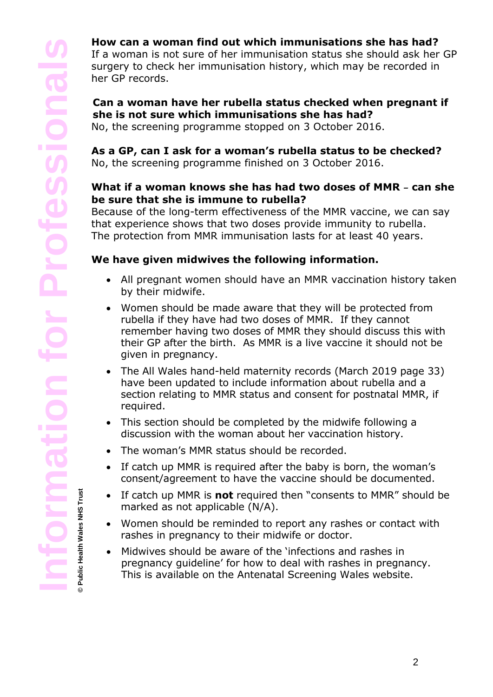**© Public Health Wales NHS Trust**

# **How can a woman find out which immunisations she has had?**

If a woman is not sure of her immunisation status she should ask her GP surgery to check her immunisation history, which may be recorded in her GP records.

# **Can a woman have her rubella status checked when pregnant if she is not sure which immunisations she has had?**

No, the screening programme stopped on 3 October 2016.

# **As a GP, can I ask for a woman's rubella status to be checked?**

No, the screening programme finished on 3 October 2016.

#### **What if a woman knows she has had two doses of MMR** – **can she be sure that she is immune to rubella?**

Because of the long-term effectiveness of the MMR vaccine, we can say that experience shows that two doses provide immunity to rubella. The protection from MMR immunisation lasts for at least 40 years.

# **We have given midwives the following information.**

- All pregnant women should have an MMR vaccination history taken by their midwife.
- Women should be made aware that they will be protected from rubella if they have had two doses of MMR. If they cannot remember having two doses of MMR they should discuss this with their GP after the birth. As MMR is a live vaccine it should not be given in pregnancy.
- The All Wales hand-held maternity records (March 2019 page 33) have been updated to include information about rubella and a section relating to MMR status and consent for postnatal MMR, if required.
- This section should be completed by the midwife following a discussion with the woman about her vaccination history.
- The woman's MMR status should be recorded.
- If catch up MMR is required after the baby is born, the woman's consent/agreement to have the vaccine should be documented.
- If catch up MMR is **not** required then "consents to MMR" should be marked as not applicable (N/A).
- Women should be reminded to report any rashes or contact with rashes in pregnancy to their midwife or doctor.
- Midwives should be aware of the 'infections and rashes in pregnancy guideline' for how to deal with rashes in pregnancy. This is available on the Antenatal Screening Wales website.